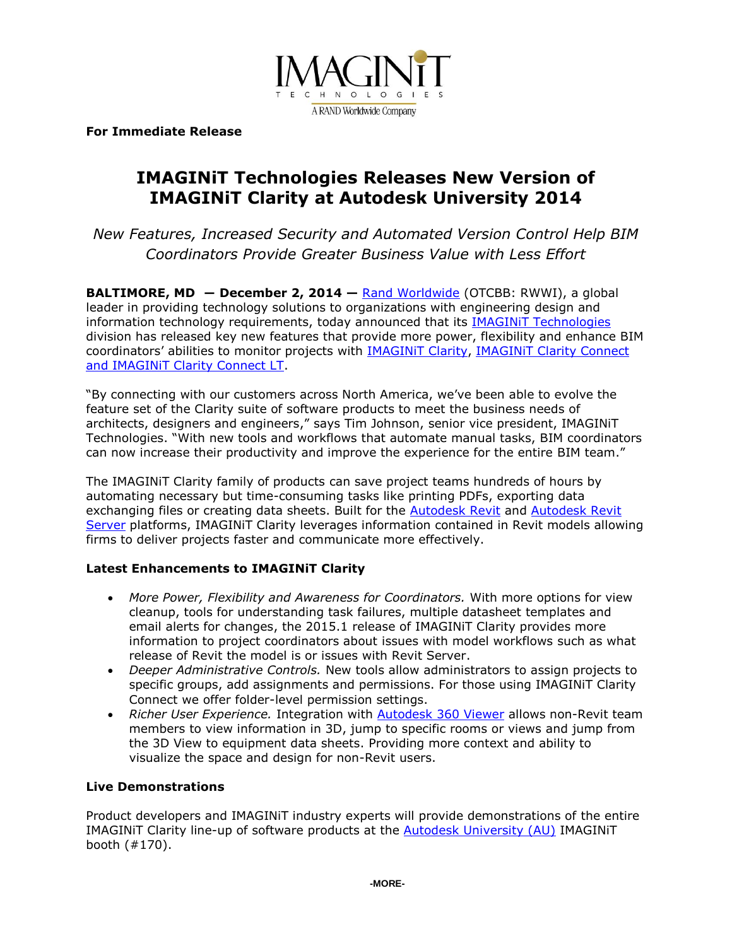

**For Immediate Release**

# **IMAGINiT Technologies Releases New Version of IMAGINiT Clarity at Autodesk University 2014**

*New Features, Increased Security and Automated Version Control Help BIM Coordinators Provide Greater Business Value with Less Effort*

**BALTIMORE, MD ― December 2, 2014 —** [Rand Worldwide](http://www.rand.com/) (OTCBB: RWWI), a global leader in providing technology solutions to organizations with engineering design and information technology requirements, today announced that its **IMAGINIT Technologies** division has released key new features that provide more power, flexibility and enhance BIM coordinators' abilities to monitor projects with [IMAGINiT Clarity,](http://www.imaginit.com/clarity) [IMAGINiT Clarity Connect](http://www.imaginit.com/software-solutions/building-architecture/imaginit-clarity-connect)  [and IMAGINiT Clarity Connect LT.](http://www.imaginit.com/software-solutions/building-architecture/imaginit-clarity-connect)

"By connecting with our customers across North America, we've been able to evolve the feature set of the Clarity suite of software products to meet the business needs of architects, designers and engineers," says Tim Johnson, senior vice president, IMAGINiT Technologies. "With new tools and workflows that automate manual tasks, BIM coordinators can now increase their productivity and improve the experience for the entire BIM team."

The IMAGINiT Clarity family of products can save project teams hundreds of hours by automating necessary but time-consuming tasks like printing PDFs, exporting data exchanging files or creating data sheets. Built for the [Autodesk Revit](http://www.imaginit.com/software/autodesk-products/revit) and [Autodesk Revit](http://knowledge.autodesk.com/support/revit-products/learn-explore/caas/CloudHelp/cloudhelp/2015/ENU/Revit-Server/files/GUID-4DE9A327-583E-40DA-81EB-1150D60E6887-htm.html)  [Server](http://knowledge.autodesk.com/support/revit-products/learn-explore/caas/CloudHelp/cloudhelp/2015/ENU/Revit-Server/files/GUID-4DE9A327-583E-40DA-81EB-1150D60E6887-htm.html) platforms, IMAGINIT Clarity leverages information contained in Revit models allowing firms to deliver projects faster and communicate more effectively.

# **Latest Enhancements to IMAGINiT Clarity**

- *More Power, Flexibility and Awareness for Coordinators.* With more options for view cleanup, tools for understanding task failures, multiple datasheet templates and email alerts for changes, the 2015.1 release of IMAGINiT Clarity provides more information to project coordinators about issues with model workflows such as what release of Revit the model is or issues with Revit Server.
- *Deeper Administrative Controls.* New tools allow administrators to assign projects to specific groups, add assignments and permissions. For those using IMAGINiT Clarity Connect we offer folder-level permission settings.
- *Richer User Experience.* Integration with [Autodesk 360 Viewer](http://autodesk-revit.blogspot.com/2014/05/bim-360-info-autodesk-360-viewer.html?_sm_au_=iVV49St5fR8Pn8TH) allows non-Revit team members to view information in 3D, jump to specific rooms or views and jump from the 3D View to equipment data sheets. Providing more context and ability to visualize the space and design for non-Revit users.

### **Live Demonstrations**

Product developers and IMAGINiT industry experts will provide demonstrations of the entire IMAGINiT Clarity line-up of software products at the [Autodesk University](http://au.autodesk.com/) (AU) IMAGINiT booth (#170).